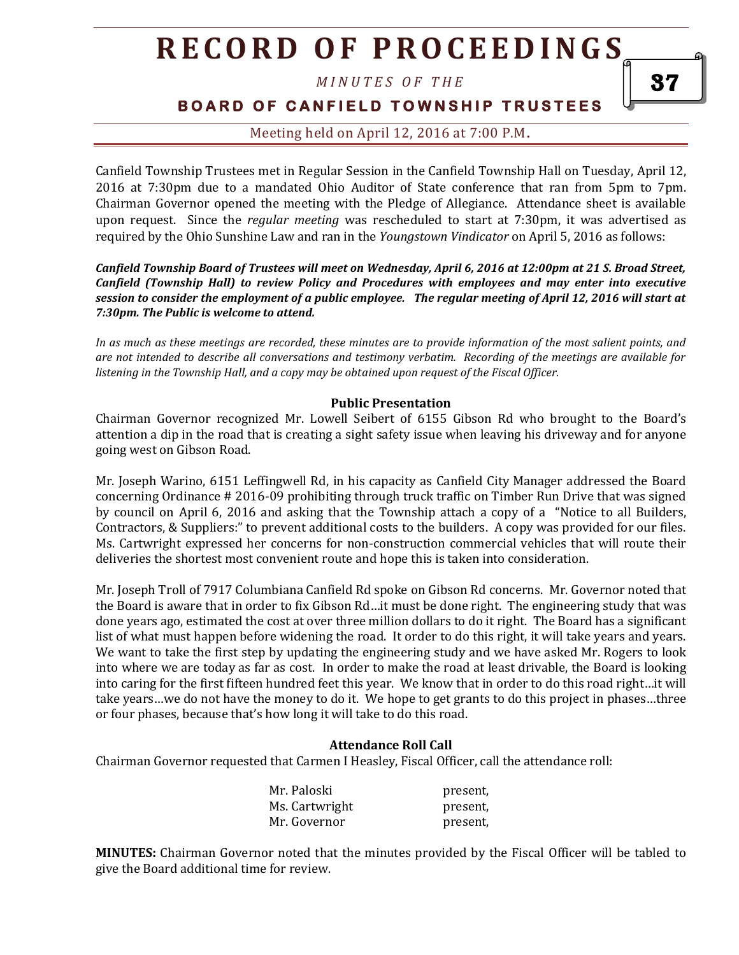*M I N U T E S O F T H E* 

**BOARD OF CANFIELD TOWNSHIP TRUSTEES** 

Meeting held on April 12, 2016 at 7:00 P.M**.**

Canfield Township Trustees met in Regular Session in the Canfield Township Hall on Tuesday, April 12, 2016 at 7:30pm due to a mandated Ohio Auditor of State conference that ran from 5pm to 7pm. Chairman Governor opened the meeting with the Pledge of Allegiance. Attendance sheet is available upon request. Since the *regular meeting* was rescheduled to start at 7:30pm, it was advertised as required by the Ohio Sunshine Law and ran in the *Youngstown Vindicator* on April 5, 2016 as follows:

*Canfield Township Board of Trustees will meet on Wednesday, April 6, 2016 at 12:00pm at 21 S. Broad Street, Canfield (Township Hall) to review Policy and Procedures with employees and may enter into executive session to consider the employment of a public employee. The regular meeting of April 12, 2016 will start at 7:30pm. The Public is welcome to attend.*

*In as much as these meetings are recorded, these minutes are to provide information of the most salient points, and are not intended to describe all conversations and testimony verbatim. Recording of the meetings are available for listening in the Township Hall, and a copy may be obtained upon request of the Fiscal Officer.* 

#### **Public Presentation**

Chairman Governor recognized Mr. Lowell Seibert of 6155 Gibson Rd who brought to the Board's attention a dip in the road that is creating a sight safety issue when leaving his driveway and for anyone going west on Gibson Road.

Mr. Joseph Warino, 6151 Leffingwell Rd, in his capacity as Canfield City Manager addressed the Board concerning Ordinance # 2016-09 prohibiting through truck traffic on Timber Run Drive that was signed by council on April 6, 2016 and asking that the Township attach a copy of a "Notice to all Builders, Contractors, & Suppliers:" to prevent additional costs to the builders. A copy was provided for our files. Ms. Cartwright expressed her concerns for non-construction commercial vehicles that will route their deliveries the shortest most convenient route and hope this is taken into consideration.

Mr. Joseph Troll of 7917 Columbiana Canfield Rd spoke on Gibson Rd concerns. Mr. Governor noted that the Board is aware that in order to fix Gibson Rd…it must be done right. The engineering study that was done years ago, estimated the cost at over three million dollars to do it right. The Board has a significant list of what must happen before widening the road. It order to do this right, it will take years and years. We want to take the first step by updating the engineering study and we have asked Mr. Rogers to look into where we are today as far as cost. In order to make the road at least drivable, the Board is looking into caring for the first fifteen hundred feet this year. We know that in order to do this road right…it will take years…we do not have the money to do it. We hope to get grants to do this project in phases…three or four phases, because that's how long it will take to do this road.

#### **Attendance Roll Call**

Chairman Governor requested that Carmen I Heasley, Fiscal Officer, call the attendance roll:

| Mr. Paloski    | present, |
|----------------|----------|
| Ms. Cartwright | present, |
| Mr. Governor   | present, |

**MINUTES:** Chairman Governor noted that the minutes provided by the Fiscal Officer will be tabled to give the Board additional time for review.

37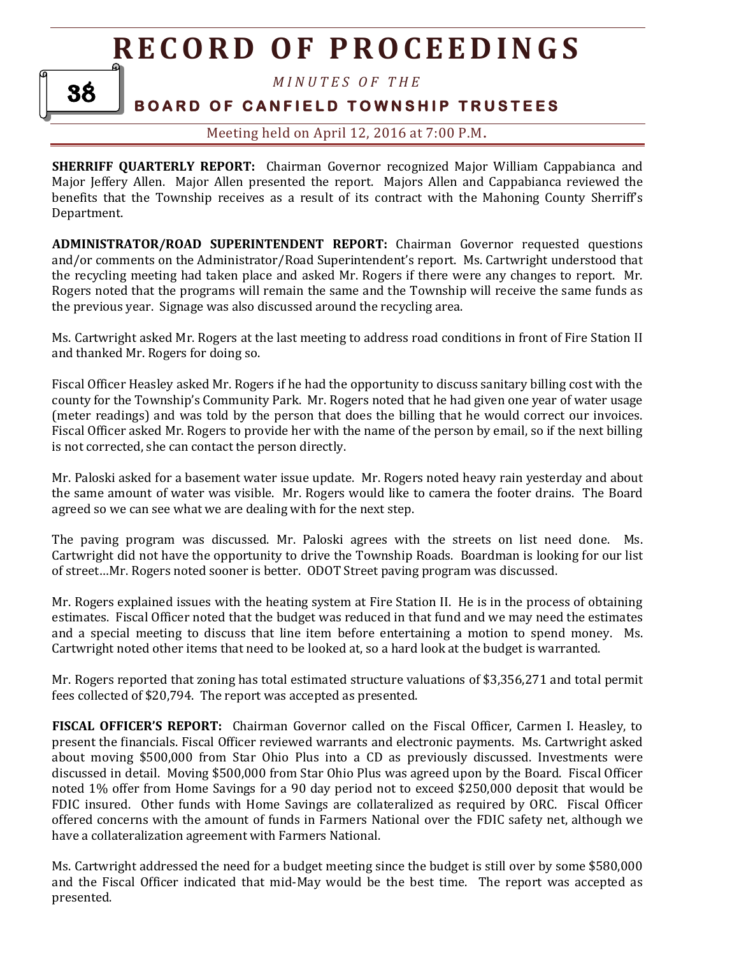38

*M I N U T E S O F T H E* 

### **BOARD OF CANFIELD TOWNSHIP TRUSTEES**

Meeting held on April 12, 2016 at 7:00 P.M**.**

**SHERRIFF QUARTERLY REPORT:** Chairman Governor recognized Major William Cappabianca and Major Jeffery Allen. Major Allen presented the report. Majors Allen and Cappabianca reviewed the benefits that the Township receives as a result of its contract with the Mahoning County Sherriff's Department.

**ADMINISTRATOR/ROAD SUPERINTENDENT REPORT:** Chairman Governor requested questions and/or comments on the Administrator/Road Superintendent's report. Ms. Cartwright understood that the recycling meeting had taken place and asked Mr. Rogers if there were any changes to report. Mr. Rogers noted that the programs will remain the same and the Township will receive the same funds as the previous year. Signage was also discussed around the recycling area.

Ms. Cartwright asked Mr. Rogers at the last meeting to address road conditions in front of Fire Station II and thanked Mr. Rogers for doing so.

Fiscal Officer Heasley asked Mr. Rogers if he had the opportunity to discuss sanitary billing cost with the county for the Township's Community Park. Mr. Rogers noted that he had given one year of water usage (meter readings) and was told by the person that does the billing that he would correct our invoices. Fiscal Officer asked Mr. Rogers to provide her with the name of the person by email, so if the next billing is not corrected, she can contact the person directly.

Mr. Paloski asked for a basement water issue update. Mr. Rogers noted heavy rain yesterday and about the same amount of water was visible. Mr. Rogers would like to camera the footer drains. The Board agreed so we can see what we are dealing with for the next step.

The paving program was discussed. Mr. Paloski agrees with the streets on list need done. Ms. Cartwright did not have the opportunity to drive the Township Roads. Boardman is looking for our list of street…Mr. Rogers noted sooner is better. ODOT Street paving program was discussed.

Mr. Rogers explained issues with the heating system at Fire Station II. He is in the process of obtaining estimates. Fiscal Officer noted that the budget was reduced in that fund and we may need the estimates and a special meeting to discuss that line item before entertaining a motion to spend money. Ms. Cartwright noted other items that need to be looked at, so a hard look at the budget is warranted.

Mr. Rogers reported that zoning has total estimated structure valuations of \$3,356,271 and total permit fees collected of \$20,794. The report was accepted as presented.

**FISCAL OFFICER'S REPORT:** Chairman Governor called on the Fiscal Officer, Carmen I. Heasley, to present the financials. Fiscal Officer reviewed warrants and electronic payments. Ms. Cartwright asked about moving \$500,000 from Star Ohio Plus into a CD as previously discussed. Investments were discussed in detail. Moving \$500,000 from Star Ohio Plus was agreed upon by the Board. Fiscal Officer noted 1% offer from Home Savings for a 90 day period not to exceed \$250,000 deposit that would be FDIC insured. Other funds with Home Savings are collateralized as required by ORC. Fiscal Officer offered concerns with the amount of funds in Farmers National over the FDIC safety net, although we have a collateralization agreement with Farmers National.

Ms. Cartwright addressed the need for a budget meeting since the budget is still over by some \$580,000 and the Fiscal Officer indicated that mid-May would be the best time. The report was accepted as presented.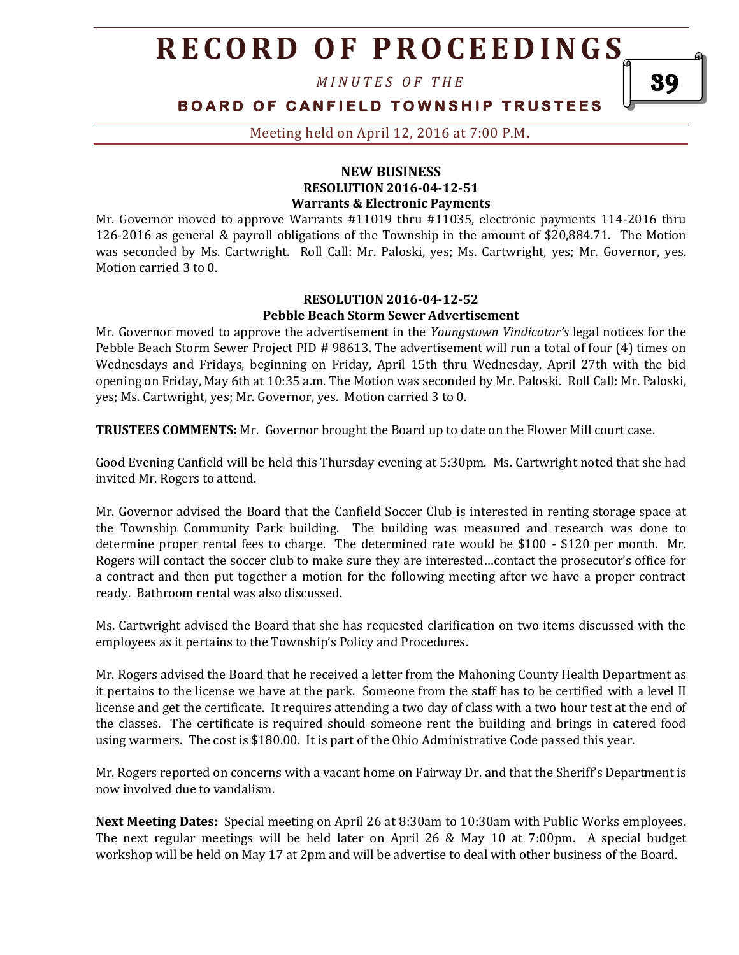*M I N U T E S O F T H E* 

### **BOARD OF CANFIELD TOWNSHIP TRUSTEES**

Meeting held on April 12, 2016 at 7:00 P.M**.**

#### **NEW BUSINESS RESOLUTION 2016-04-12-51 Warrants & Electronic Payments**

Mr. Governor moved to approve Warrants #11019 thru #11035, electronic payments 114-2016 thru 126-2016 as general & payroll obligations of the Township in the amount of \$20,884.71. The Motion was seconded by Ms. Cartwright. Roll Call: Mr. Paloski, yes; Ms. Cartwright, yes; Mr. Governor, yes. Motion carried 3 to 0.

#### **RESOLUTION 2016-04-12-52 Pebble Beach Storm Sewer Advertisement**

Mr. Governor moved to approve the advertisement in the *Youngstown Vindicator's* legal notices for the Pebble Beach Storm Sewer Project PID # 98613. The advertisement will run a total of four (4) times on Wednesdays and Fridays, beginning on Friday, April 15th thru Wednesday, April 27th with the bid opening on Friday, May 6th at 10:35 a.m. The Motion was seconded by Mr. Paloski. Roll Call: Mr. Paloski, yes; Ms. Cartwright, yes; Mr. Governor, yes. Motion carried 3 to 0.

**TRUSTEES COMMENTS:** Mr. Governor brought the Board up to date on the Flower Mill court case.

Good Evening Canfield will be held this Thursday evening at 5:30pm. Ms. Cartwright noted that she had invited Mr. Rogers to attend.

Mr. Governor advised the Board that the Canfield Soccer Club is interested in renting storage space at the Township Community Park building. The building was measured and research was done to determine proper rental fees to charge. The determined rate would be \$100 - \$120 per month. Mr. Rogers will contact the soccer club to make sure they are interested…contact the prosecutor's office for a contract and then put together a motion for the following meeting after we have a proper contract ready. Bathroom rental was also discussed.

Ms. Cartwright advised the Board that she has requested clarification on two items discussed with the employees as it pertains to the Township's Policy and Procedures.

Mr. Rogers advised the Board that he received a letter from the Mahoning County Health Department as it pertains to the license we have at the park. Someone from the staff has to be certified with a level II license and get the certificate. It requires attending a two day of class with a two hour test at the end of the classes. The certificate is required should someone rent the building and brings in catered food using warmers. The cost is \$180.00. It is part of the Ohio Administrative Code passed this year.

Mr. Rogers reported on concerns with a vacant home on Fairway Dr. and that the Sheriff's Department is now involved due to vandalism.

**Next Meeting Dates:** Special meeting on April 26 at 8:30am to 10:30am with Public Works employees. The next regular meetings will be held later on April 26 & May 10 at 7:00pm. A special budget workshop will be held on May 17 at 2pm and will be advertise to deal with other business of the Board.

39